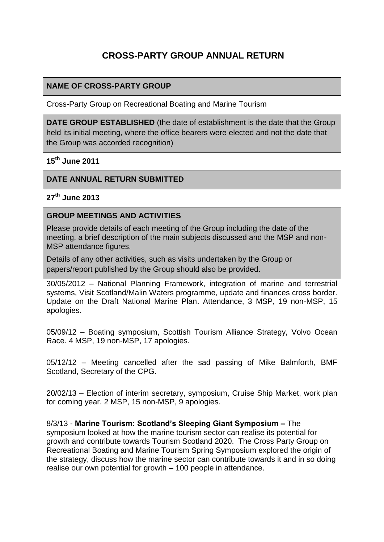# **CROSS-PARTY GROUP ANNUAL RETURN**

#### **NAME OF CROSS-PARTY GROUP**

Cross-Party Group on Recreational Boating and Marine Tourism

**DATE GROUP ESTABLISHED** (the date of establishment is the date that the Group held its initial meeting, where the office bearers were elected and not the date that the Group was accorded recognition)

**15th June 2011**

#### **DATE ANNUAL RETURN SUBMITTED**

**27th June 2013**

#### **GROUP MEETINGS AND ACTIVITIES**

Please provide details of each meeting of the Group including the date of the meeting, a brief description of the main subjects discussed and the MSP and non-MSP attendance figures.

Details of any other activities, such as visits undertaken by the Group or papers/report published by the Group should also be provided.

30/05/2012 – National Planning Framework, integration of marine and terrestrial systems, Visit Scotland/Malin Waters programme, update and finances cross border. Update on the Draft National Marine Plan. Attendance, 3 MSP, 19 non-MSP, 15 apologies.

05/09/12 – Boating symposium, Scottish Tourism Alliance Strategy, Volvo Ocean Race. 4 MSP, 19 non-MSP, 17 apologies.

05/12/12 – Meeting cancelled after the sad passing of Mike Balmforth, BMF Scotland, Secretary of the CPG.

20/02/13 – Election of interim secretary, symposium, Cruise Ship Market, work plan for coming year. 2 MSP, 15 non-MSP, 9 apologies.

8/3/13 - **Marine Tourism: Scotland's Sleeping Giant Symposium –** The symposium looked at how the marine tourism sector can realise its potential for growth and contribute towards Tourism Scotland 2020.The Cross Party Group on Recreational Boating and Marine Tourism Spring Symposium explored the origin of the strategy, discuss how the marine sector can contribute towards it and in so doing realise our own potential for growth – 100 people in attendance.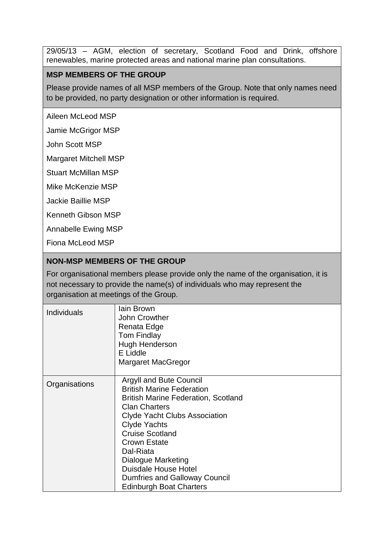29/05/13 – AGM, election of secretary, Scotland Food and Drink, offshore renewables, marine protected areas and national marine plan consultations.

## **MSP MEMBERS OF THE GROUP**

Please provide names of all MSP members of the Group. Note that only names need to be provided, no party designation or other information is required.

Aileen McLeod MSP

Jamie McGrigor MSP

John Scott MSP

Margaret Mitchell MSP

Stuart McMillan MSP

Mike McKenzie MSP

Jackie Baillie MSP

Kenneth Gibson MSP

Annabelle Ewing MSP

Fiona McLeod MSP

#### **NON-MSP MEMBERS OF THE GROUP**

For organisational members please provide only the name of the organisation, it is not necessary to provide the name(s) of individuals who may represent the organisation at meetings of the Group.

| <b>Individuals</b> | lain Brown<br>John Crowther<br>Renata Edge<br><b>Tom Findlay</b><br><b>Hugh Henderson</b><br>E Liddle<br>Margaret MacGregor                                                                                                                                                                                                                                                                   |
|--------------------|-----------------------------------------------------------------------------------------------------------------------------------------------------------------------------------------------------------------------------------------------------------------------------------------------------------------------------------------------------------------------------------------------|
| Organisations      | <b>Argyll and Bute Council</b><br><b>British Marine Federation</b><br><b>British Marine Federation, Scotland</b><br><b>Clan Charters</b><br><b>Clyde Yacht Clubs Association</b><br><b>Clyde Yachts</b><br><b>Cruise Scotland</b><br><b>Crown Estate</b><br>Dal-Riata<br>Dialogue Marketing<br><b>Duisdale House Hotel</b><br>Dumfries and Galloway Council<br><b>Edinburgh Boat Charters</b> |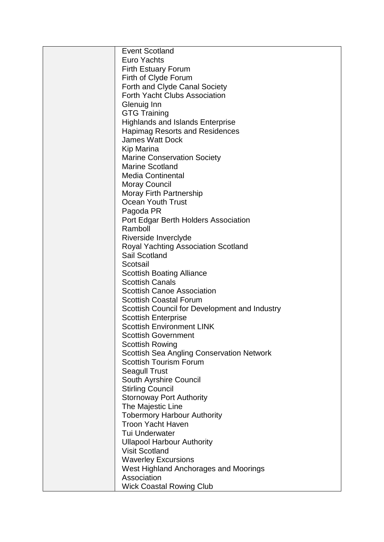| <b>Event Scotland</b>                            |
|--------------------------------------------------|
| <b>Euro Yachts</b>                               |
| <b>Firth Estuary Forum</b>                       |
| Firth of Clyde Forum                             |
| Forth and Clyde Canal Society                    |
| <b>Forth Yacht Clubs Association</b>             |
| Glenuig Inn                                      |
| <b>GTG Training</b>                              |
| <b>Highlands and Islands Enterprise</b>          |
| <b>Hapimag Resorts and Residences</b>            |
| <b>James Watt Dock</b>                           |
| Kip Marina                                       |
| <b>Marine Conservation Society</b>               |
| <b>Marine Scotland</b>                           |
| <b>Media Continental</b>                         |
| <b>Moray Council</b>                             |
| <b>Moray Firth Partnership</b>                   |
| Ocean Youth Trust                                |
| Pagoda PR                                        |
| Port Edgar Berth Holders Association             |
| Ramboll                                          |
| Riverside Inverclyde                             |
| <b>Royal Yachting Association Scotland</b>       |
| Sail Scotland                                    |
| Scotsail                                         |
| <b>Scottish Boating Alliance</b>                 |
| <b>Scottish Canals</b>                           |
| <b>Scottish Canoe Association</b>                |
| <b>Scottish Coastal Forum</b>                    |
| Scottish Council for Development and Industry    |
| <b>Scottish Enterprise</b>                       |
| <b>Scottish Environment LINK</b>                 |
| <b>Scottish Government</b>                       |
| <b>Scottish Rowing</b>                           |
| <b>Scottish Sea Angling Conservation Network</b> |
| <b>Scottish Tourism Forum</b>                    |
| <b>Seagull Trust</b>                             |
| South Ayrshire Council                           |
| <b>Stirling Council</b>                          |
| <b>Stornoway Port Authority</b>                  |
| The Majestic Line                                |
| <b>Tobermory Harbour Authority</b>               |
| <b>Troon Yacht Haven</b>                         |
| <b>Tui Underwater</b>                            |
| <b>Ullapool Harbour Authority</b>                |
| <b>Visit Scotland</b>                            |
| <b>Waverley Excursions</b>                       |
| West Highland Anchorages and Moorings            |
| Association                                      |
| <b>Wick Coastal Rowing Club</b>                  |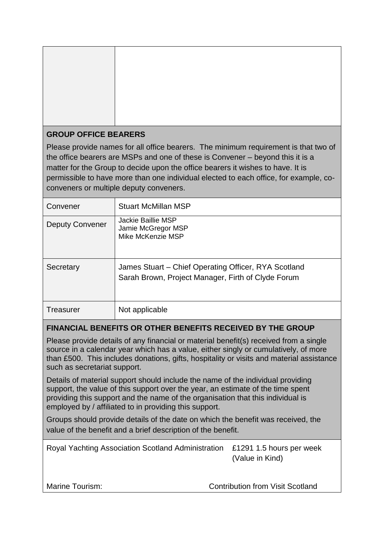## **GROUP OFFICE BEARERS**

Please provide names for all office bearers. The minimum requirement is that two of the office bearers are MSPs and one of these is Convener – beyond this it is a matter for the Group to decide upon the office bearers it wishes to have. It is permissible to have more than one individual elected to each office, for example, coconveners or multiple deputy conveners.

| Convener               | <b>Stuart McMillan MSP</b>                                                                                 |
|------------------------|------------------------------------------------------------------------------------------------------------|
| <b>Deputy Convener</b> | <b>Jackie Baillie MSP</b><br>Jamie McGregor MSP<br>Mike McKenzie MSP                                       |
| Secretary              | James Stuart – Chief Operating Officer, RYA Scotland<br>Sarah Brown, Project Manager, Firth of Clyde Forum |
| Treasurer              | Not applicable                                                                                             |

# **FINANCIAL BENEFITS OR OTHER BENEFITS RECEIVED BY THE GROUP**

Please provide details of any financial or material benefit(s) received from a single source in a calendar year which has a value, either singly or cumulatively, of more than £500. This includes donations, gifts, hospitality or visits and material assistance such as secretariat support.

Details of material support should include the name of the individual providing support, the value of this support over the year, an estimate of the time spent providing this support and the name of the organisation that this individual is employed by / affiliated to in providing this support.

Groups should provide details of the date on which the benefit was received, the value of the benefit and a brief description of the benefit.

| Royal Yachting Association Scotland Administration £1291 1.5 hours per week |                 |
|-----------------------------------------------------------------------------|-----------------|
|                                                                             | (Value in Kind) |
|                                                                             |                 |